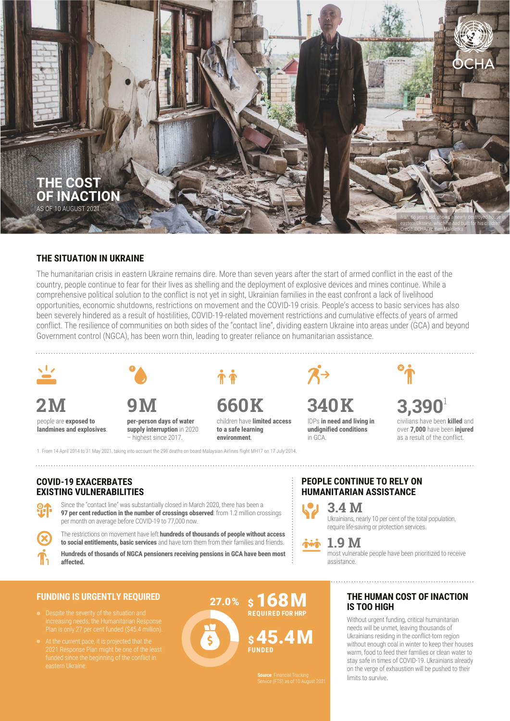

#### **THE SITUATION IN UKRAINE**

The humanitarian crisis in eastern Ukraine remains dire. More than seven years after the start of armed conflict in the east of the country, people continue to fear for their lives as shelling and the deployment of explosive devices and mines continue. While a comprehensive political solution to the conflict is not yet in sight, Ukrainian families in the east confront a lack of livelihood opportunities, economic shutdowns, restrictions on movement and the COVID-19 crisis. People's access to basic services has also been severely hindered as a result of hostilities, COVID-19-related movement restrictions and cumulative effects of years of armed conflict. The resilience of communities on both sides of the "contact line", dividing eastern Ukraine into areas under (GCA) and beyond Government control (NGCA), has been worn thin, leading to greater reliance on humanitarian assistance.



people are **exposed to** 

**landmines and explosives**.



**per-person days of water supply interruption** in 2020 – highest since 2017.

1. From 14 April 2014 to 31 May 2021, taking into account the 298 deaths on board Malaysian Airlines flight MH17 on 17 July 2014.

**2M 9M 660K 340K 3,390**<sup>1</sup>

children have **limited access to a safe learning environment**.

 $\mathcal{R} \rightarrow$ 

IDPs **in need and living in undignified conditions** in GCA.

civilians have been **killed** and over **7,000** have been **injured** as a result of the conflict.

## **COVID-19 EXACERBATES EXISTING VULNERABILITIES**

Since the "contact line" was substantially closed in March 2020, there has been a **97 per cent reduction in the number of crossings observed**: from 1.2 million crossings per month on average before COVID-19 to 77,000 now.

The restrictions on movement have left **hundreds of thousands of people without access to social entitlements, basic services** and have torn them from their families and friends.

**Hundreds of thosands of NGCA pensioners receiving pensions in GCA have been most affected.**

## **FUNDING IS URGENTLY REQUIRED**

- 
- eastern Ukraine.



# **PEOPLE CONTINUE TO RELY ON HUMANITARIAN ASSISTANCE**

**3.4 M** Ukrainians, nearly 10 per cent of the total population, require life-saving or protection services.

**1.9 M**

**Source**: Financial Tracking Service (FTS) as of 10 August 2021

most vulnerable people have been prioritized to receive assistance.

## **THE HUMAN COST OF INACTION IS TOO HIGH**

Without urgent funding, critical humanitarian needs will be unmet, leaving thousands of Ukrainians residing in the conflict-torn region without enough coal in winter to keep their houses warm, food to feed their families or clean water to stay safe in times of COVID-19. Ukrainians already on the verge of exhaustion will be pushed to their limits to survive.